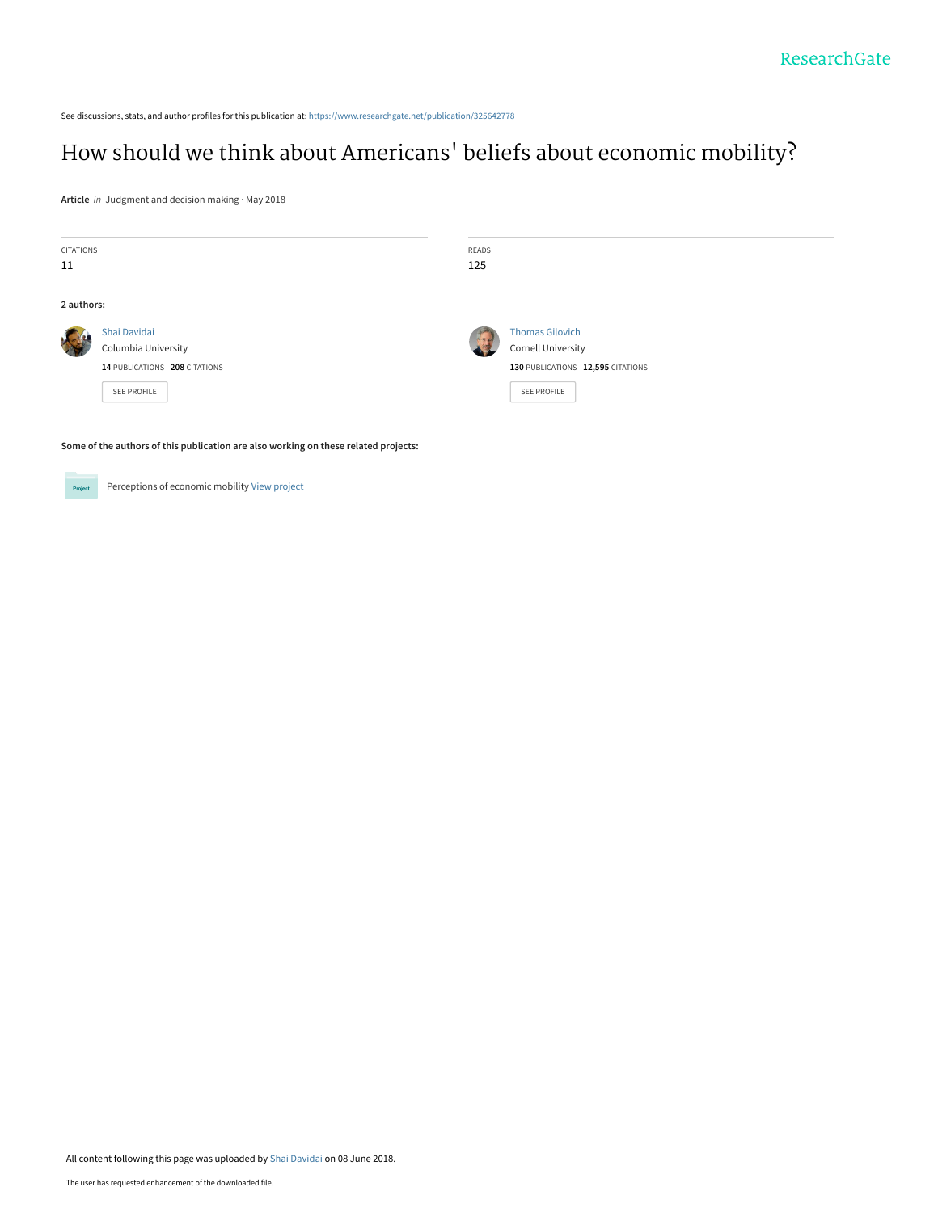<span id="page-0-0"></span>See discussions, stats, and author profiles for this publication at: [https://www.researchgate.net/publication/325642778](https://www.researchgate.net/publication/325642778_How_should_we_think_about_Americans%27_beliefs_about_economic_mobility?enrichId=rgreq-bec0bc1a804f54c4ae3153600da6c4b1-XXX&enrichSource=Y292ZXJQYWdlOzMyNTY0Mjc3ODtBUzo2MzUwODAxODM2NDgyNThAMTUyODQyNjMyMzc4OQ%3D%3D&el=1_x_2&_esc=publicationCoverPdf)

# How should we think about Americans[' beliefs about economic mobility?](https://www.researchgate.net/publication/325642778_How_should_we_think_about_Americans%27_beliefs_about_economic_mobility?enrichId=rgreq-bec0bc1a804f54c4ae3153600da6c4b1-XXX&enrichSource=Y292ZXJQYWdlOzMyNTY0Mjc3ODtBUzo2MzUwODAxODM2NDgyNThAMTUyODQyNjMyMzc4OQ%3D%3D&el=1_x_3&_esc=publicationCoverPdf)

**Article** in Judgment and decision making · May 2018

| CITATIONS                                                                           |                               | READS |                                   |  |
|-------------------------------------------------------------------------------------|-------------------------------|-------|-----------------------------------|--|
| 11                                                                                  |                               | 125   |                                   |  |
|                                                                                     |                               |       |                                   |  |
| 2 authors:                                                                          |                               |       |                                   |  |
|                                                                                     | Shai Davidai                  |       | <b>Thomas Gilovich</b>            |  |
|                                                                                     | Columbia University           |       | <b>Cornell University</b>         |  |
|                                                                                     | 14 PUBLICATIONS 208 CITATIONS |       | 130 PUBLICATIONS 12,595 CITATIONS |  |
|                                                                                     | SEE PROFILE                   |       | <b>SEE PROFILE</b>                |  |
|                                                                                     |                               |       |                                   |  |
|                                                                                     |                               |       |                                   |  |
| Some of the authors of this publication are also working on these related projects: |                               |       |                                   |  |



Perceptions of economic mobility [View project](https://www.researchgate.net/project/Perceptions-of-economic-mobility?enrichId=rgreq-bec0bc1a804f54c4ae3153600da6c4b1-XXX&enrichSource=Y292ZXJQYWdlOzMyNTY0Mjc3ODtBUzo2MzUwODAxODM2NDgyNThAMTUyODQyNjMyMzc4OQ%3D%3D&el=1_x_9&_esc=publicationCoverPdf)

All content following this page was uploaded by [Shai Davidai](https://www.researchgate.net/profile/Shai_Davidai?enrichId=rgreq-bec0bc1a804f54c4ae3153600da6c4b1-XXX&enrichSource=Y292ZXJQYWdlOzMyNTY0Mjc3ODtBUzo2MzUwODAxODM2NDgyNThAMTUyODQyNjMyMzc4OQ%3D%3D&el=1_x_10&_esc=publicationCoverPdf) on 08 June 2018.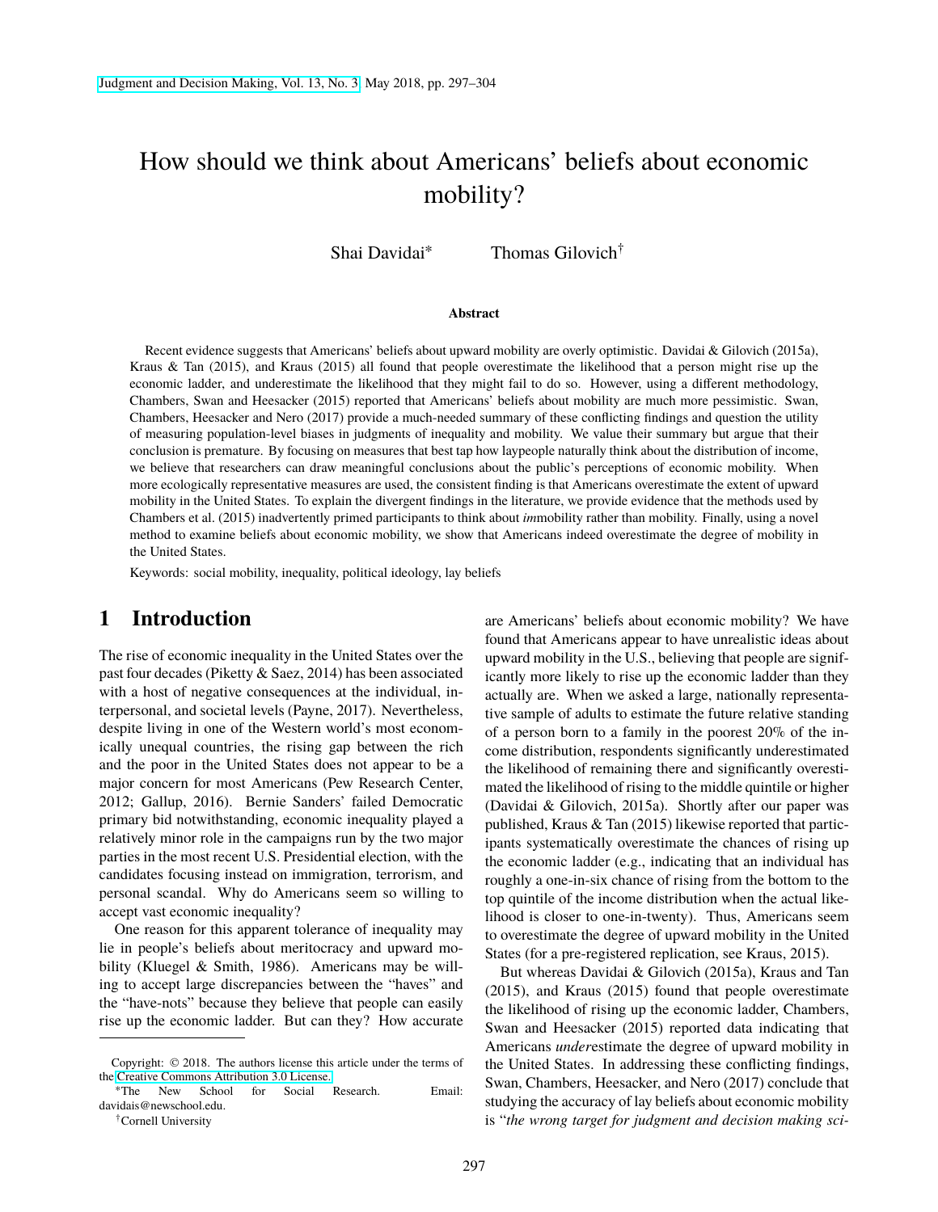# How should we think about Americans' beliefs about economic mobility?

Shai Davidai<sup>∗</sup> Thomas Gilovich†

#### **Abstract**

Recent evidence suggests that Americans' beliefs about upward mobility are overly optimistic. Davidai & Gilovich (2015a), Kraus & Tan (2015), and Kraus (2015) all found that people overestimate the likelihood that a person might rise up the economic ladder, and underestimate the likelihood that they might fail to do so. However, using a different methodology, Chambers, Swan and Heesacker (2015) reported that Americans' beliefs about mobility are much more pessimistic. Swan, Chambers, Heesacker and Nero (2017) provide a much-needed summary of these conflicting findings and question the utility of measuring population-level biases in judgments of inequality and mobility. We value their summary but argue that their conclusion is premature. By focusing on measures that best tap how laypeople naturally think about the distribution of income, we believe that researchers can draw meaningful conclusions about the public's perceptions of economic mobility. When more ecologically representative measures are used, the consistent finding is that Americans overestimate the extent of upward mobility in the United States. To explain the divergent findings in the literature, we provide evidence that the methods used by Chambers et al. (2015) inadvertently primed participants to think about *im*mobility rather than mobility. Finally, using a novel method to examine beliefs about economic mobility, we show that Americans indeed overestimate the degree of mobility in the United States.

Keywords: social mobility, inequality, political ideology, lay beliefs

#### **1 Introduction**

The rise of economic inequality in the United States over the past four decades (Piketty & Saez, 2014) has been associated with a host of negative consequences at the individual, interpersonal, and societal levels (Payne, 2017). Nevertheless, despite living in one of the Western world's most economically unequal countries, the rising gap between the rich and the poor in the United States does not appear to be a major concern for most Americans (Pew Research Center, 2012; Gallup, 2016). Bernie Sanders' failed Democratic primary bid notwithstanding, economic inequality played a relatively minor role in the campaigns run by the two major parties in the most recent U.S. Presidential election, with the candidates focusing instead on immigration, terrorism, and personal scandal. Why do Americans seem so willing to accept vast economic inequality?

One reason for this apparent tolerance of inequality may lie in people's beliefs about meritocracy and upward mobility (Kluegel & Smith, 1986). Americans may be willing to accept large discrepancies between the "haves" and the "have-nots" because they believe that people can easily rise up the economic ladder. But can they? How accurate are Americans' beliefs about economic mobility? We have found that Americans appear to have unrealistic ideas about upward mobility in the U.S., believing that people are significantly more likely to rise up the economic ladder than they actually are. When we asked a large, nationally representative sample of adults to estimate the future relative standing of a person born to a family in the poorest 20% of the income distribution, respondents significantly underestimated the likelihood of remaining there and significantly overestimated the likelihood of rising to the middle quintile or higher (Davidai & Gilovich, 2015a). Shortly after our paper was published, Kraus & Tan (2015) likewise reported that participants systematically overestimate the chances of rising up the economic ladder (e.g., indicating that an individual has roughly a one-in-six chance of rising from the bottom to the top quintile of the income distribution when the actual likelihood is closer to one-in-twenty). Thus, Americans seem to overestimate the degree of upward mobility in the United States (for a pre-registered replication, see Kraus, 2015).

But whereas Davidai & Gilovich (2015a), Kraus and Tan (2015), and Kraus (2015) found that people overestimate the likelihood of rising up the economic ladder, Chambers, Swan and Heesacker (2015) reported data indicating that Americans *under*estimate the degree of upward mobility in the United States. In addressing these conflicting findings, Swan, Chambers, Heesacker, and Nero (2017) conclude that studying the accuracy of lay beliefs about economic mobility is "*the wrong target for judgment and decision making sci-*

Copyright: © 2018. The authors license this article under the terms of the [Creative Commons Attribution 3.0 License.](http://creativecommons.org/licenses/by/3.0/)

<sup>∗</sup>The New School for Social Research. Email: davidais@newschool.edu.

<sup>†</sup>Cornell University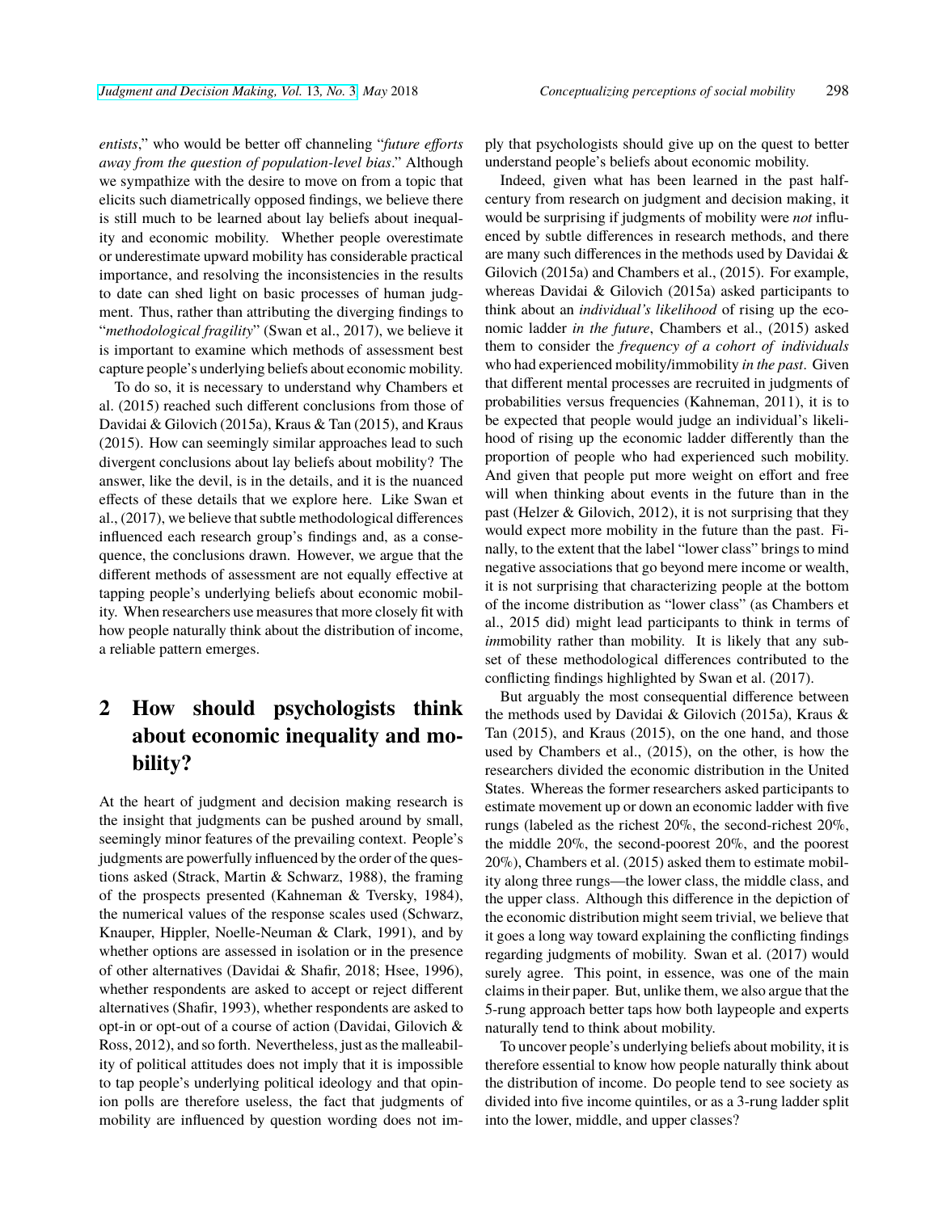*entists*," who would be better off channeling "*future efforts away from the question of population-level bias*." Although we sympathize with the desire to move on from a topic that elicits such diametrically opposed findings, we believe there is still much to be learned about lay beliefs about inequality and economic mobility. Whether people overestimate or underestimate upward mobility has considerable practical importance, and resolving the inconsistencies in the results to date can shed light on basic processes of human judgment. Thus, rather than attributing the diverging findings to "*methodological fragility*" (Swan et al., 2017), we believe it is important to examine which methods of assessment best capture people's underlying beliefs about economic mobility.

To do so, it is necessary to understand why Chambers et al. (2015) reached such different conclusions from those of Davidai & Gilovich (2015a), Kraus & Tan (2015), and Kraus (2015). How can seemingly similar approaches lead to such divergent conclusions about lay beliefs about mobility? The answer, like the devil, is in the details, and it is the nuanced effects of these details that we explore here. Like Swan et al., (2017), we believe that subtle methodological differences influenced each research group's findings and, as a consequence, the conclusions drawn. However, we argue that the different methods of assessment are not equally effective at tapping people's underlying beliefs about economic mobility. When researchers use measures that more closely fit with how people naturally think about the distribution of income, a reliable pattern emerges.

## **2 How should psychologists think about economic inequality and mobility?**

At the heart of judgment and decision making research is the insight that judgments can be pushed around by small, seemingly minor features of the prevailing context. People's judgments are powerfully influenced by the order of the questions asked (Strack, Martin & Schwarz, 1988), the framing of the prospects presented (Kahneman & Tversky, 1984), the numerical values of the response scales used (Schwarz, Knauper, Hippler, Noelle-Neuman & Clark, 1991), and by whether options are assessed in isolation or in the presence of other alternatives (Davidai & Shafir, 2018; Hsee, 1996), whether respondents are asked to accept or reject different alternatives (Shafir, 1993), whether respondents are asked to opt-in or opt-out of a course of action (Davidai, Gilovich & Ross, 2012), and so forth. Nevertheless, just as the malleability of political attitudes does not imply that it is impossible to tap people's underlying political ideology and that opinion polls are therefore useless, the fact that judgments of mobility are influenced by question wording does not imply that psychologists should give up on the quest to better understand people's beliefs about economic mobility.

Indeed, given what has been learned in the past halfcentury from research on judgment and decision making, it would be surprising if judgments of mobility were *not* influenced by subtle differences in research methods, and there are many such differences in the methods used by Davidai & Gilovich (2015a) and Chambers et al., (2015). For example, whereas Davidai & Gilovich (2015a) asked participants to think about an *individual's likelihood* of rising up the economic ladder *in the future*, Chambers et al., (2015) asked them to consider the *frequency of a cohort of individuals* who had experienced mobility/immobility *in the past*. Given that different mental processes are recruited in judgments of probabilities versus frequencies (Kahneman, 2011), it is to be expected that people would judge an individual's likelihood of rising up the economic ladder differently than the proportion of people who had experienced such mobility. And given that people put more weight on effort and free will when thinking about events in the future than in the past (Helzer & Gilovich, 2012), it is not surprising that they would expect more mobility in the future than the past. Finally, to the extent that the label "lower class" brings to mind negative associations that go beyond mere income or wealth, it is not surprising that characterizing people at the bottom of the income distribution as "lower class" (as Chambers et al., 2015 did) might lead participants to think in terms of *immobility* rather than mobility. It is likely that any subset of these methodological differences contributed to the conflicting findings highlighted by Swan et al. (2017).

But arguably the most consequential difference between the methods used by Davidai & Gilovich (2015a), Kraus & Tan (2015), and Kraus (2015), on the one hand, and those used by Chambers et al., (2015), on the other, is how the researchers divided the economic distribution in the United States. Whereas the former researchers asked participants to estimate movement up or down an economic ladder with five rungs (labeled as the richest 20%, the second-richest 20%, the middle 20%, the second-poorest 20%, and the poorest 20%), Chambers et al. (2015) asked them to estimate mobility along three rungs—the lower class, the middle class, and the upper class. Although this difference in the depiction of the economic distribution might seem trivial, we believe that it goes a long way toward explaining the conflicting findings regarding judgments of mobility. Swan et al. (2017) would surely agree. This point, in essence, was one of the main claims in their paper. But, unlike them, we also argue that the 5-rung approach better taps how both laypeople and experts naturally tend to think about mobility.

To uncover people's underlying beliefs about mobility, it is therefore essential to know how people naturally think about the distribution of income. Do people tend to see society as divided into five income quintiles, or as a 3-rung ladder split into the lower, middle, and upper classes?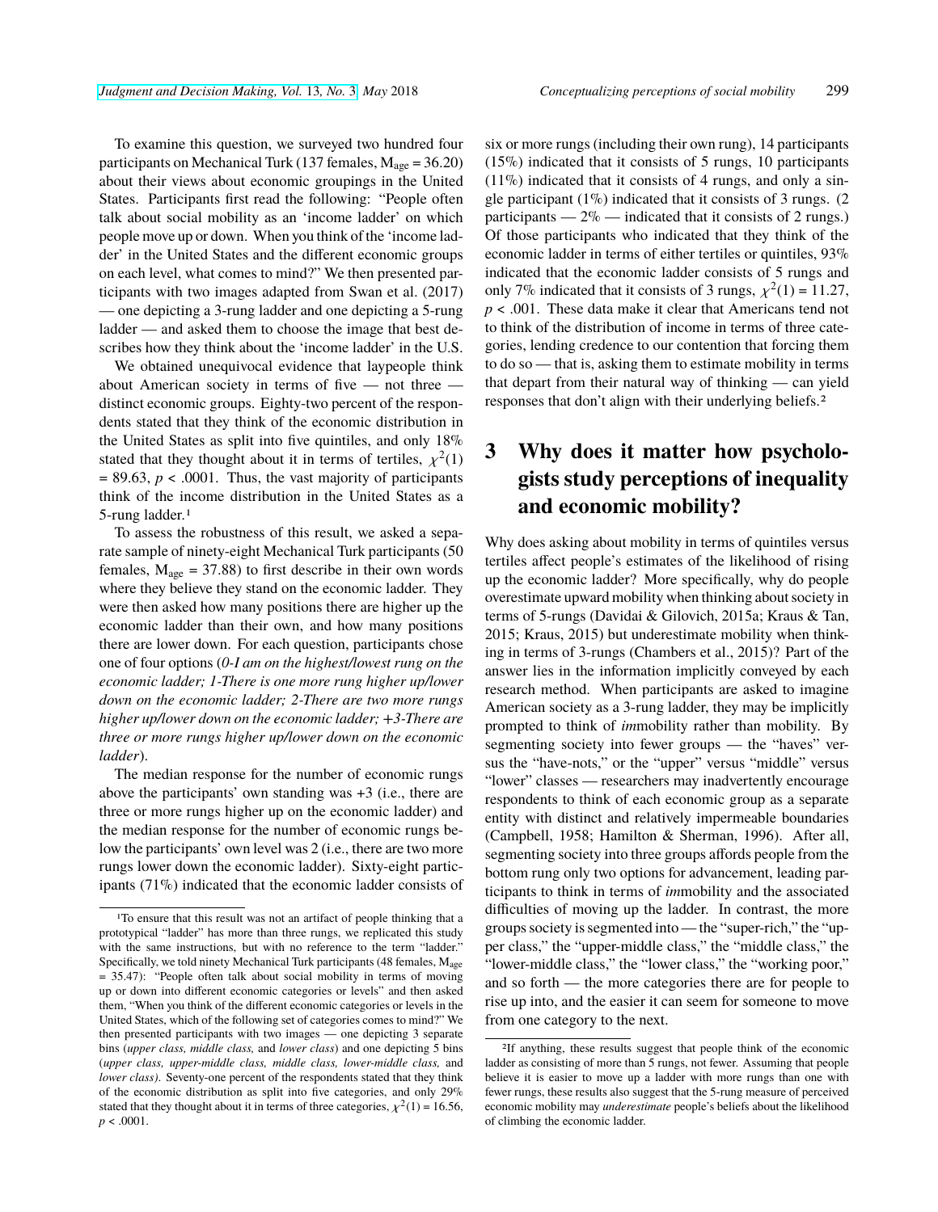To examine this question, we surveyed two hundred four participants on Mechanical Turk (137 females,  $M_{\text{age}} = 36.20$ ) about their views about economic groupings in the United States. Participants first read the following: "People often talk about social mobility as an 'income ladder' on which people move up or down. When you think of the 'income ladder' in the United States and the different economic groups on each level, what comes to mind?" We then presented participants with two images adapted from Swan et al. (2017) — one depicting a 3-rung ladder and one depicting a 5-rung ladder — and asked them to choose the image that best describes how they think about the 'income ladder' in the U.S.

We obtained unequivocal evidence that laypeople think about American society in terms of five — not three distinct economic groups. Eighty-two percent of the respondents stated that they think of the economic distribution in the United States as split into five quintiles, and only 18% stated that they thought about it in terms of tertiles,  $\chi^2(1)$  $= 89.63$ ,  $p < .0001$ . Thus, the vast majority of participants think of the income distribution in the United States as a 5-rung ladder.1

To assess the robustness of this result, we asked a separate sample of ninety-eight Mechanical Turk participants (50 females,  $M_{\text{age}} = 37.88$ ) to first describe in their own words where they believe they stand on the economic ladder. They were then asked how many positions there are higher up the economic ladder than their own, and how many positions there are lower down. For each question, participants chose one of four options (*0-I am on the highest/lowest rung on the economic ladder; 1-There is one more rung higher up/lower down on the economic ladder; 2-There are two more rungs higher up/lower down on the economic ladder; +3-There are three or more rungs higher up/lower down on the economic ladder*).

The median response for the number of economic rungs above the participants' own standing was +3 (i.e., there are three or more rungs higher up on the economic ladder) and the median response for the number of economic rungs below the participants' own level was 2 (i.e., there are two more rungs lower down the economic ladder). Sixty-eight participants (71%) indicated that the economic ladder consists of six or more rungs (including their own rung), 14 participants (15%) indicated that it consists of 5 rungs, 10 participants  $(11\%)$  indicated that it consists of 4 rungs, and only a single participant  $(1\%)$  indicated that it consists of 3 rungs.  $(2)$ participants —  $2\%$  — indicated that it consists of 2 rungs.) Of those participants who indicated that they think of the economic ladder in terms of either tertiles or quintiles, 93% indicated that the economic ladder consists of 5 rungs and only 7% indicated that it consists of 3 rungs,  $\chi^2(1) = 11.27$ , *p* < .001. These data make it clear that Americans tend not to think of the distribution of income in terms of three categories, lending credence to our contention that forcing them to do so — that is, asking them to estimate mobility in terms that depart from their natural way of thinking — can yield responses that don't align with their underlying beliefs.2

### **3 Why does it matter how psychologists study perceptions of inequality and economic mobility?**

Why does asking about mobility in terms of quintiles versus tertiles affect people's estimates of the likelihood of rising up the economic ladder? More specifically, why do people overestimate upward mobility when thinking about society in terms of 5-rungs (Davidai & Gilovich, 2015a; Kraus & Tan, 2015; Kraus, 2015) but underestimate mobility when thinking in terms of 3-rungs (Chambers et al., 2015)? Part of the answer lies in the information implicitly conveyed by each research method. When participants are asked to imagine American society as a 3-rung ladder, they may be implicitly prompted to think of *im*mobility rather than mobility. By segmenting society into fewer groups — the "haves" versus the "have-nots," or the "upper" versus "middle" versus "lower" classes — researchers may inadvertently encourage respondents to think of each economic group as a separate entity with distinct and relatively impermeable boundaries (Campbell, 1958; Hamilton & Sherman, 1996). After all, segmenting society into three groups affords people from the bottom rung only two options for advancement, leading participants to think in terms of *im*mobility and the associated difficulties of moving up the ladder. In contrast, the more groups society is segmented into— the "super-rich," the "upper class," the "upper-middle class," the "middle class," the "lower-middle class," the "lower class," the "working poor," and so forth — the more categories there are for people to rise up into, and the easier it can seem for someone to move from one category to the next.

<sup>&</sup>lt;sup>1</sup>To ensure that this result was not an artifact of people thinking that a prototypical "ladder" has more than three rungs, we replicated this study with the same instructions, but with no reference to the term "ladder." Specifically, we told ninety Mechanical Turk participants (48 females,  $M_{\text{age}}$ ) = 35.47): "People often talk about social mobility in terms of moving up or down into different economic categories or levels" and then asked them, "When you think of the different economic categories or levels in the United States, which of the following set of categories comes to mind?" We then presented participants with two images — one depicting 3 separate bins (*upper class, middle class,* and *lower class*) and one depicting 5 bins (*upper class, upper-middle class, middle class, lower-middle class,* and *lower class)*. Seventy-one percent of the respondents stated that they think of the economic distribution as split into five categories, and only 29% stated that they thought about it in terms of three categories,  $\chi^2(1) = 16.56$ ,  $p < .0001$ .

<sup>2</sup>If anything, these results suggest that people think of the economic ladder as consisting of more than 5 rungs, not fewer. Assuming that people believe it is easier to move up a ladder with more rungs than one with fewer rungs, these results also suggest that the 5-rung measure of perceived economic mobility may *underestimate* people's beliefs about the likelihood of climbing the economic ladder.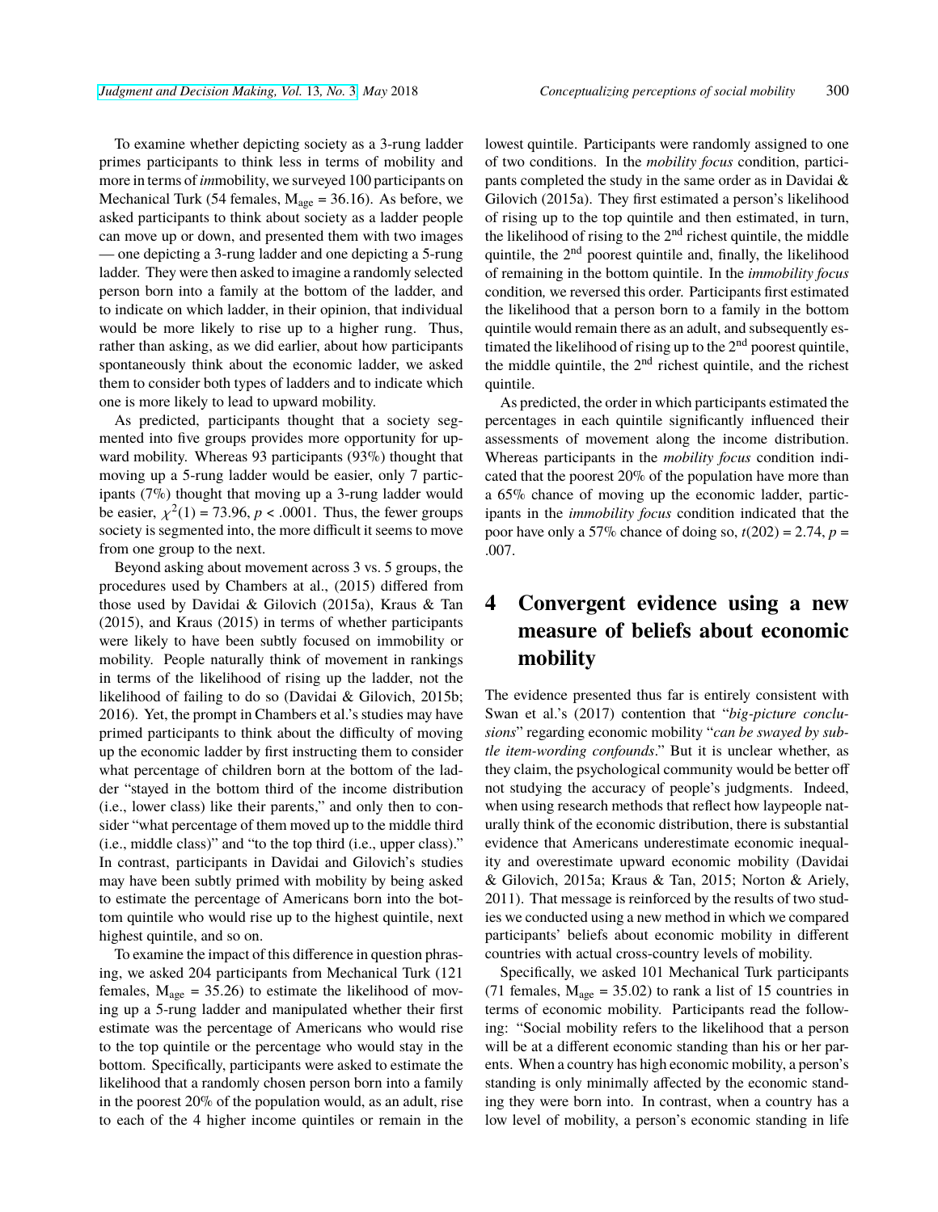To examine whether depicting society as a 3-rung ladder primes participants to think less in terms of mobility and more in terms of *im*mobility, we surveyed 100 participants on Mechanical Turk (54 females,  $M_{\text{age}} = 36.16$ ). As before, we asked participants to think about society as a ladder people can move up or down, and presented them with two images — one depicting a 3-rung ladder and one depicting a 5-rung ladder. They were then asked to imagine a randomly selected person born into a family at the bottom of the ladder, and to indicate on which ladder, in their opinion, that individual would be more likely to rise up to a higher rung. Thus, rather than asking, as we did earlier, about how participants spontaneously think about the economic ladder, we asked them to consider both types of ladders and to indicate which one is more likely to lead to upward mobility.

As predicted, participants thought that a society segmented into five groups provides more opportunity for upward mobility. Whereas 93 participants (93%) thought that moving up a 5-rung ladder would be easier, only 7 participants (7%) thought that moving up a 3-rung ladder would be easier,  $\chi^2(1) = 73.96$ ,  $p < .0001$ . Thus, the fewer groups society is segmented into, the more difficult it seems to move from one group to the next.

Beyond asking about movement across 3 vs. 5 groups, the procedures used by Chambers at al., (2015) differed from those used by Davidai & Gilovich (2015a), Kraus & Tan (2015), and Kraus (2015) in terms of whether participants were likely to have been subtly focused on immobility or mobility. People naturally think of movement in rankings in terms of the likelihood of rising up the ladder, not the likelihood of failing to do so (Davidai & Gilovich, 2015b; 2016). Yet, the prompt in Chambers et al.'s studies may have primed participants to think about the difficulty of moving up the economic ladder by first instructing them to consider what percentage of children born at the bottom of the ladder "stayed in the bottom third of the income distribution (i.e., lower class) like their parents," and only then to consider "what percentage of them moved up to the middle third (i.e., middle class)" and "to the top third (i.e., upper class)." In contrast, participants in Davidai and Gilovich's studies may have been subtly primed with mobility by being asked to estimate the percentage of Americans born into the bottom quintile who would rise up to the highest quintile, next highest quintile, and so on.

To examine the impact of this difference in question phrasing, we asked 204 participants from Mechanical Turk (121 females,  $M_{\text{age}} = 35.26$ ) to estimate the likelihood of moving up a 5-rung ladder and manipulated whether their first estimate was the percentage of Americans who would rise to the top quintile or the percentage who would stay in the bottom. Specifically, participants were asked to estimate the likelihood that a randomly chosen person born into a family in the poorest 20% of the population would, as an adult, rise to each of the 4 higher income quintiles or remain in the

lowest quintile. Participants were randomly assigned to one of two conditions. In the *mobility focus* condition, participants completed the study in the same order as in Davidai & Gilovich (2015a). They first estimated a person's likelihood of rising up to the top quintile and then estimated, in turn, the likelihood of rising to the  $2<sup>nd</sup>$  richest quintile, the middle quintile, the 2nd poorest quintile and, finally, the likelihood of remaining in the bottom quintile. In the *immobility focus* condition*,* we reversed this order. Participants first estimated the likelihood that a person born to a family in the bottom quintile would remain there as an adult, and subsequently estimated the likelihood of rising up to the  $2<sup>nd</sup>$  poorest quintile, the middle quintile, the  $2<sup>nd</sup>$  richest quintile, and the richest quintile.

As predicted, the order in which participants estimated the percentages in each quintile significantly influenced their assessments of movement along the income distribution. Whereas participants in the *mobility focus* condition indicated that the poorest 20% of the population have more than a 65% chance of moving up the economic ladder, participants in the *immobility focus* condition indicated that the poor have only a 57% chance of doing so,  $t(202) = 2.74$ ,  $p =$ .007.

### **4 Convergent evidence using a new measure of beliefs about economic mobility**

The evidence presented thus far is entirely consistent with Swan et al.'s (2017) contention that "*big-picture conclusions*" regarding economic mobility "*can be swayed by subtle item-wording confounds*." But it is unclear whether, as they claim, the psychological community would be better off not studying the accuracy of people's judgments. Indeed, when using research methods that reflect how laypeople naturally think of the economic distribution, there is substantial evidence that Americans underestimate economic inequality and overestimate upward economic mobility (Davidai & Gilovich, 2015a; Kraus & Tan, 2015; Norton & Ariely, 2011). That message is reinforced by the results of two studies we conducted using a new method in which we compared participants' beliefs about economic mobility in different countries with actual cross-country levels of mobility.

Specifically, we asked 101 Mechanical Turk participants (71 females,  $M_{\text{age}} = 35.02$ ) to rank a list of 15 countries in terms of economic mobility. Participants read the following: "Social mobility refers to the likelihood that a person will be at a different economic standing than his or her parents. When a country has high economic mobility, a person's standing is only minimally affected by the economic standing they were born into. In contrast, when a country has a low level of mobility, a person's economic standing in life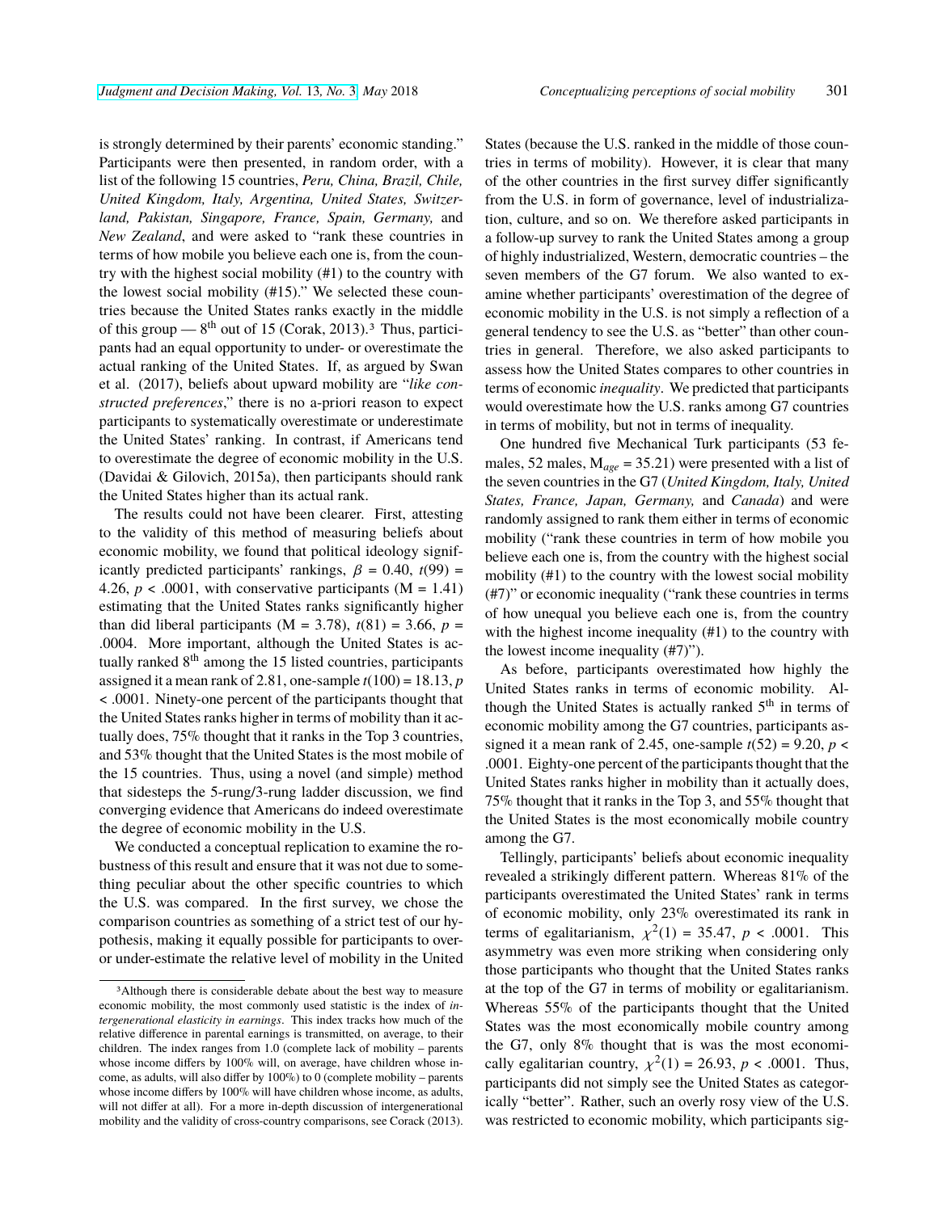is strongly determined by their parents' economic standing." Participants were then presented, in random order, with a list of the following 15 countries, *Peru, China, Brazil, Chile, United Kingdom, Italy, Argentina, United States, Switzerland, Pakistan, Singapore, France, Spain, Germany,* and *New Zealand*, and were asked to "rank these countries in terms of how mobile you believe each one is, from the country with the highest social mobility (#1) to the country with the lowest social mobility (#15)." We selected these countries because the United States ranks exactly in the middle of this group —  $8<sup>th</sup>$  out of 15 (Corak, 2013).<sup>3</sup> Thus, participants had an equal opportunity to under- or overestimate the actual ranking of the United States. If, as argued by Swan et al. (2017), beliefs about upward mobility are "*like constructed preferences*," there is no a-priori reason to expect participants to systematically overestimate or underestimate the United States' ranking. In contrast, if Americans tend to overestimate the degree of economic mobility in the U.S. (Davidai & Gilovich, 2015a), then participants should rank the United States higher than its actual rank.

The results could not have been clearer. First, attesting to the validity of this method of measuring beliefs about economic mobility, we found that political ideology significantly predicted participants' rankings,  $\beta = 0.40$ ,  $t(99) =$ 4.26,  $p < .0001$ , with conservative participants (M = 1.41) estimating that the United States ranks significantly higher than did liberal participants  $(M = 3.78)$ ,  $t(81) = 3.66$ ,  $p =$ .0004. More important, although the United States is actually ranked 8<sup>th</sup> among the 15 listed countries, participants assigned it a mean rank of 2.81, one-sample  $t(100) = 18.13$ ,  $p$ < .0001. Ninety-one percent of the participants thought that the United States ranks higher in terms of mobility than it actually does, 75% thought that it ranks in the Top 3 countries, and 53% thought that the United States is the most mobile of the 15 countries. Thus, using a novel (and simple) method that sidesteps the 5-rung/3-rung ladder discussion, we find converging evidence that Americans do indeed overestimate the degree of economic mobility in the U.S.

We conducted a conceptual replication to examine the robustness of this result and ensure that it was not due to something peculiar about the other specific countries to which the U.S. was compared. In the first survey, we chose the comparison countries as something of a strict test of our hypothesis, making it equally possible for participants to overor under-estimate the relative level of mobility in the United States (because the U.S. ranked in the middle of those countries in terms of mobility). However, it is clear that many of the other countries in the first survey differ significantly from the U.S. in form of governance, level of industrialization, culture, and so on. We therefore asked participants in a follow-up survey to rank the United States among a group of highly industrialized, Western, democratic countries – the seven members of the G7 forum. We also wanted to examine whether participants' overestimation of the degree of economic mobility in the U.S. is not simply a reflection of a general tendency to see the U.S. as "better" than other countries in general. Therefore, we also asked participants to assess how the United States compares to other countries in terms of economic *inequality*. We predicted that participants would overestimate how the U.S. ranks among G7 countries in terms of mobility, but not in terms of inequality.

One hundred five Mechanical Turk participants (53 females, 52 males, M*age* = 35.21) were presented with a list of the seven countries in the G7 (*United Kingdom, Italy, United States, France, Japan, Germany,* and *Canada*) and were randomly assigned to rank them either in terms of economic mobility ("rank these countries in term of how mobile you believe each one is, from the country with the highest social mobility (#1) to the country with the lowest social mobility (#7)" or economic inequality ("rank these countries in terms of how unequal you believe each one is, from the country with the highest income inequality (#1) to the country with the lowest income inequality (#7)").

As before, participants overestimated how highly the United States ranks in terms of economic mobility. Although the United States is actually ranked  $5<sup>th</sup>$  in terms of economic mobility among the G7 countries, participants assigned it a mean rank of 2.45, one-sample  $t(52) = 9.20$ ,  $p <$ .0001. Eighty-one percent of the participants thought that the United States ranks higher in mobility than it actually does, 75% thought that it ranks in the Top 3, and 55% thought that the United States is the most economically mobile country among the G7.

Tellingly, participants' beliefs about economic inequality revealed a strikingly different pattern. Whereas 81% of the participants overestimated the United States' rank in terms of economic mobility, only 23% overestimated its rank in terms of egalitarianism,  $\chi^2(1) = 35.47$ ,  $p < .0001$ . This asymmetry was even more striking when considering only those participants who thought that the United States ranks at the top of the G7 in terms of mobility or egalitarianism. Whereas 55% of the participants thought that the United States was the most economically mobile country among the G7, only 8% thought that is was the most economically egalitarian country,  $\chi^2(1) = 26.93$ ,  $p < .0001$ . Thus, participants did not simply see the United States as categorically "better". Rather, such an overly rosy view of the U.S. was restricted to economic mobility, which participants sig-

<sup>3</sup>Although there is considerable debate about the best way to measure economic mobility, the most commonly used statistic is the index of *intergenerational elasticity in earnings*. This index tracks how much of the relative difference in parental earnings is transmitted, on average, to their children. The index ranges from 1.0 (complete lack of mobility – parents whose income differs by 100% will, on average, have children whose income, as adults, will also differ by 100%) to 0 (complete mobility – parents whose income differs by 100% will have children whose income, as adults, will not differ at all). For a more in-depth discussion of intergenerational mobility and the validity of cross-country comparisons, see Corack (2013).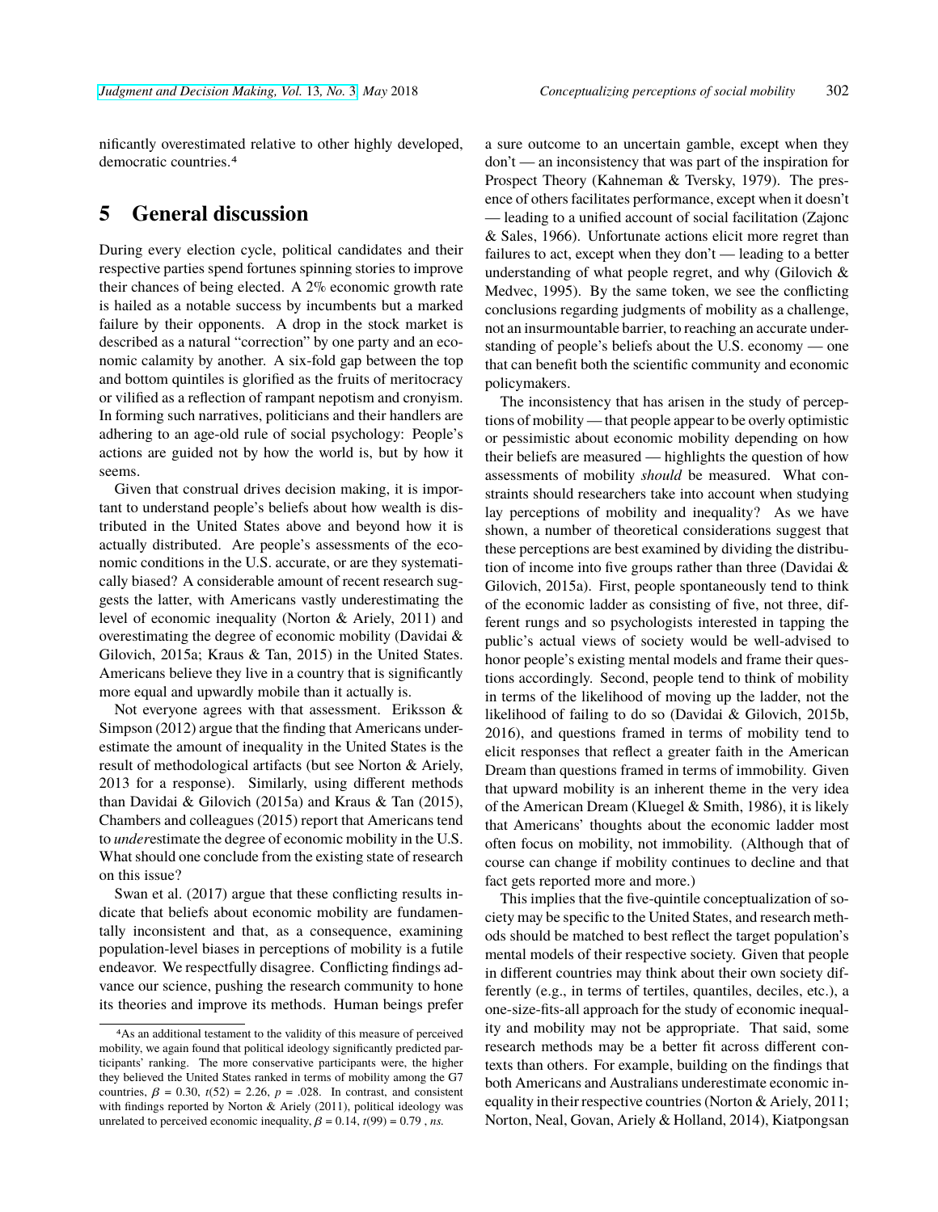nificantly overestimated relative to other highly developed, democratic countries.4

### **5 General discussion**

During every election cycle, political candidates and their respective parties spend fortunes spinning stories to improve their chances of being elected. A 2% economic growth rate is hailed as a notable success by incumbents but a marked failure by their opponents. A drop in the stock market is described as a natural "correction" by one party and an economic calamity by another. A six-fold gap between the top and bottom quintiles is glorified as the fruits of meritocracy or vilified as a reflection of rampant nepotism and cronyism. In forming such narratives, politicians and their handlers are adhering to an age-old rule of social psychology: People's actions are guided not by how the world is, but by how it seems.

Given that construal drives decision making, it is important to understand people's beliefs about how wealth is distributed in the United States above and beyond how it is actually distributed. Are people's assessments of the economic conditions in the U.S. accurate, or are they systematically biased? A considerable amount of recent research suggests the latter, with Americans vastly underestimating the level of economic inequality (Norton & Ariely, 2011) and overestimating the degree of economic mobility (Davidai & Gilovich, 2015a; Kraus & Tan, 2015) in the United States. Americans believe they live in a country that is significantly more equal and upwardly mobile than it actually is.

Not everyone agrees with that assessment. Eriksson & Simpson (2012) argue that the finding that Americans underestimate the amount of inequality in the United States is the result of methodological artifacts (but see Norton & Ariely, 2013 for a response). Similarly, using different methods than Davidai & Gilovich (2015a) and Kraus & Tan (2015), Chambers and colleagues (2015) report that Americans tend to *under*estimate the degree of economic mobility in the U.S. What should one conclude from the existing state of research on this issue?

Swan et al. (2017) argue that these conflicting results indicate that beliefs about economic mobility are fundamentally inconsistent and that, as a consequence, examining population-level biases in perceptions of mobility is a futile endeavor. We respectfully disagree. Conflicting findings advance our science, pushing the research community to hone its theories and improve its methods. Human beings prefer

a sure outcome to an uncertain gamble, except when they don't — an inconsistency that was part of the inspiration for Prospect Theory (Kahneman & Tversky, 1979). The presence of others facilitates performance, except when it doesn't — leading to a unified account of social facilitation (Zajonc & Sales, 1966). Unfortunate actions elicit more regret than failures to act, except when they don't — leading to a better understanding of what people regret, and why (Gilovich & Medvec, 1995). By the same token, we see the conflicting conclusions regarding judgments of mobility as a challenge, not an insurmountable barrier, to reaching an accurate understanding of people's beliefs about the U.S. economy — one that can benefit both the scientific community and economic policymakers.

The inconsistency that has arisen in the study of perceptions of mobility — that people appear to be overly optimistic or pessimistic about economic mobility depending on how their beliefs are measured — highlights the question of how assessments of mobility *should* be measured. What constraints should researchers take into account when studying lay perceptions of mobility and inequality? As we have shown, a number of theoretical considerations suggest that these perceptions are best examined by dividing the distribution of income into five groups rather than three (Davidai & Gilovich, 2015a). First, people spontaneously tend to think of the economic ladder as consisting of five, not three, different rungs and so psychologists interested in tapping the public's actual views of society would be well-advised to honor people's existing mental models and frame their questions accordingly. Second, people tend to think of mobility in terms of the likelihood of moving up the ladder, not the likelihood of failing to do so (Davidai & Gilovich, 2015b, 2016), and questions framed in terms of mobility tend to elicit responses that reflect a greater faith in the American Dream than questions framed in terms of immobility. Given that upward mobility is an inherent theme in the very idea of the American Dream (Kluegel & Smith, 1986), it is likely that Americans' thoughts about the economic ladder most often focus on mobility, not immobility. (Although that of course can change if mobility continues to decline and that fact gets reported more and more.)

This implies that the five-quintile conceptualization of society may be specific to the United States, and research methods should be matched to best reflect the target population's mental models of their respective society. Given that people in different countries may think about their own society differently (e.g., in terms of tertiles, quantiles, deciles, etc.), a one-size-fits-all approach for the study of economic inequality and mobility may not be appropriate. That said, some research methods may be a better fit across different contexts than others. For example, building on the findings that both Americans and Australians underestimate economic inequality in their respective countries (Norton & Ariely, 2011; Norton, Neal, Govan, Ariely & Holland, 2014), Kiatpongsan

<sup>4</sup>As an additional testament to the validity of this measure of perceived mobility, we again found that political ideology significantly predicted participants' ranking. The more conservative participants were, the higher they believed the United States ranked in terms of mobility among the G7 countries,  $\beta = 0.30$ ,  $t(52) = 2.26$ ,  $p = 0.028$ . In contrast, and consistent with findings reported by Norton & Ariely (2011), political ideology was unrelated to perceived economic inequality,  $\beta = 0.14$ ,  $t(99) = 0.79$ , *ns.*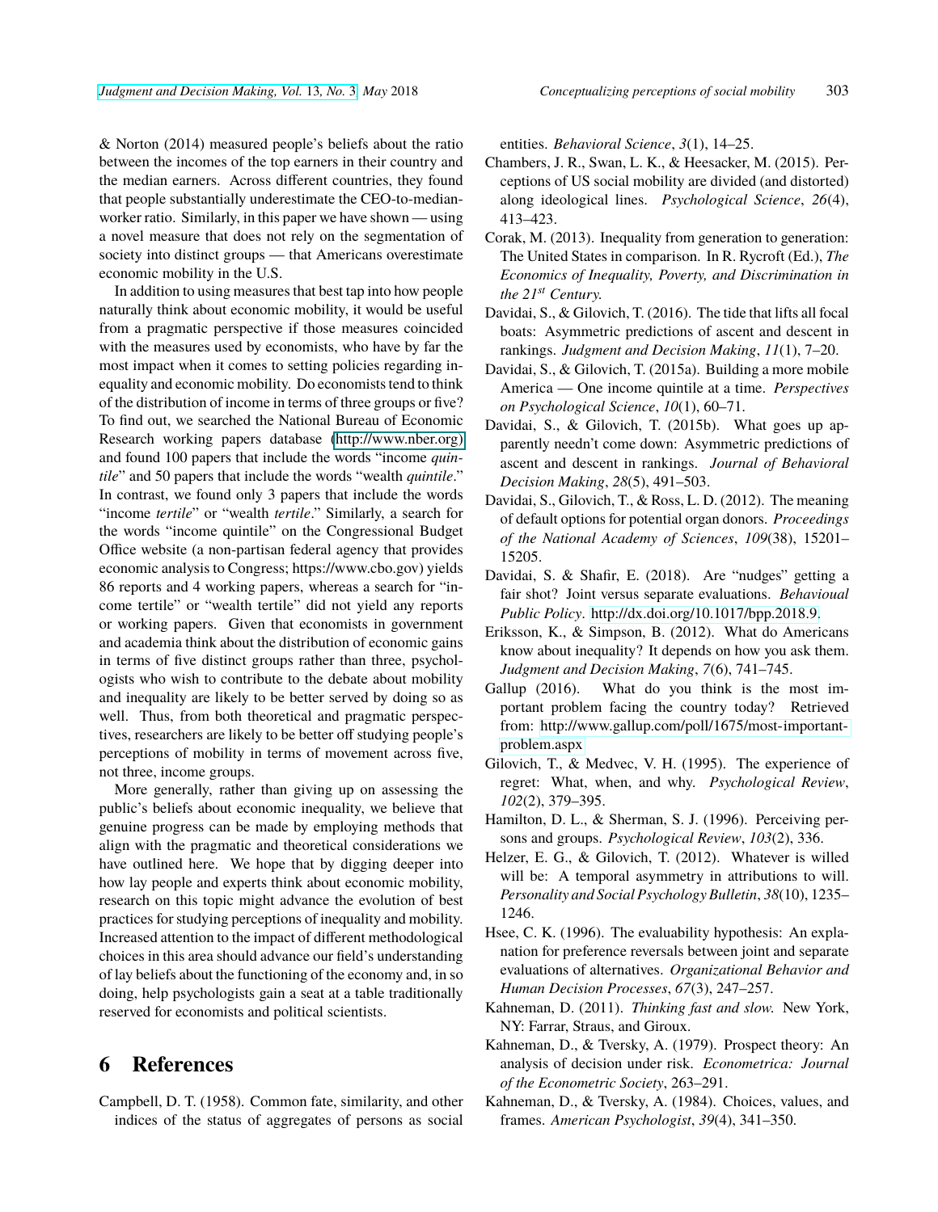& Norton (2014) measured people's beliefs about the ratio between the incomes of the top earners in their country and the median earners. Across different countries, they found that people substantially underestimate the CEO-to-medianworker ratio. Similarly, in this paper we have shown — using a novel measure that does not rely on the segmentation of society into distinct groups — that Americans overestimate economic mobility in the U.S.

In addition to using measures that best tap into how people naturally think about economic mobility, it would be useful from a pragmatic perspective if those measures coincided with the measures used by economists, who have by far the most impact when it comes to setting policies regarding inequality and economic mobility. Do economists tend to think of the distribution of income in terms of three groups or five? To find out, we searched the National Bureau of Economic Research working papers database [\(http://www.nber.org\)](#page-0-0) and found 100 papers that include the words "income *quintile*" and 50 papers that include the words "wealth *quintile*." In contrast, we found only 3 papers that include the words "income *tertile*" or "wealth *tertile*." Similarly, a search for the words "income quintile" on the Congressional Budget Office website (a non-partisan federal agency that provides economic analysis to Congress; https://www.cbo.gov) yields 86 reports and 4 working papers, whereas a search for "income tertile" or "wealth tertile" did not yield any reports or working papers. Given that economists in government and academia think about the distribution of economic gains in terms of five distinct groups rather than three, psychologists who wish to contribute to the debate about mobility and inequality are likely to be better served by doing so as well. Thus, from both theoretical and pragmatic perspectives, researchers are likely to be better off studying people's perceptions of mobility in terms of movement across five, not three, income groups.

More generally, rather than giving up on assessing the public's beliefs about economic inequality, we believe that genuine progress can be made by employing methods that align with the pragmatic and theoretical considerations we have outlined here. We hope that by digging deeper into how lay people and experts think about economic mobility, research on this topic might advance the evolution of best practices for studying perceptions of inequality and mobility. Increased attention to the impact of different methodological choices in this area should advance our field's understanding of lay beliefs about the functioning of the economy and, in so doing, help psychologists gain a seat at a table traditionally reserved for economists and political scientists.

#### **6 References**

Campbell, D. T. (1958). Common fate, similarity, and other indices of the status of aggregates of persons as social entities. *Behavioral Science*, *3*(1), 14–25.

- Chambers, J. R., Swan, L. K., & Heesacker, M. (2015). Perceptions of US social mobility are divided (and distorted) along ideological lines. *Psychological Science*, *26*(4), 413–423.
- Corak, M. (2013). Inequality from generation to generation: The United States in comparison. In R. Rycroft (Ed.), *The Economics of Inequality, Poverty, and Discrimination in the 21st Century.*
- Davidai, S., & Gilovich, T. (2016). The tide that lifts all focal boats: Asymmetric predictions of ascent and descent in rankings. *Judgment and Decision Making*, *11*(1), 7–20.
- Davidai, S., & Gilovich, T. (2015a). Building a more mobile America — One income quintile at a time. *Perspectives on Psychological Science*, *10*(1), 60–71.
- Davidai, S., & Gilovich, T. (2015b). What goes up apparently needn't come down: Asymmetric predictions of ascent and descent in rankings. *Journal of Behavioral Decision Making*, *28*(5), 491–503.
- Davidai, S., Gilovich, T., & Ross, L. D. (2012). The meaning of default options for potential organ donors. *Proceedings of the National Academy of Sciences*, *109*(38), 15201– 15205.
- Davidai, S. & Shafir, E. (2018). Are "nudges" getting a fair shot? Joint versus separate evaluations. *Behavioual Public Policy*. [http://dx.doi.org/10.1017/bpp.2018.9.](http://dx.doi.org/10.1017/bpp.2018.9)
- Eriksson, K., & Simpson, B. (2012). What do Americans know about inequality? It depends on how you ask them. *Judgment and Decision Making*, *7*(6), 741–745.
- Gallup (2016). What do you think is the most important problem facing the country today? Retrieved from: [http://www.gallup.com/poll/1675/most-important](http://www.gallup.com/poll/1675/most-important-problem.aspx)[problem.aspx](http://www.gallup.com/poll/1675/most-important-problem.aspx)
- Gilovich, T., & Medvec, V. H. (1995). The experience of regret: What, when, and why. *Psychological Review*, *102*(2), 379–395.
- Hamilton, D. L., & Sherman, S. J. (1996). Perceiving persons and groups. *Psychological Review*, *103*(2), 336.
- Helzer, E. G., & Gilovich, T. (2012). Whatever is willed will be: A temporal asymmetry in attributions to will. *Personality and Social Psychology Bulletin*, *38*(10), 1235– 1246.
- Hsee, C. K. (1996). The evaluability hypothesis: An explanation for preference reversals between joint and separate evaluations of alternatives. *Organizational Behavior and Human Decision Processes*, *67*(3), 247–257.
- Kahneman, D. (2011). *Thinking fast and slow.* New York, NY: Farrar, Straus, and Giroux.
- Kahneman, D., & Tversky, A. (1979). Prospect theory: An analysis of decision under risk. *Econometrica: Journal of the Econometric Society*, 263–291.
- Kahneman, D., & Tversky, A. (1984). Choices, values, and frames. *American Psychologist*, *39*(4), 341–350.